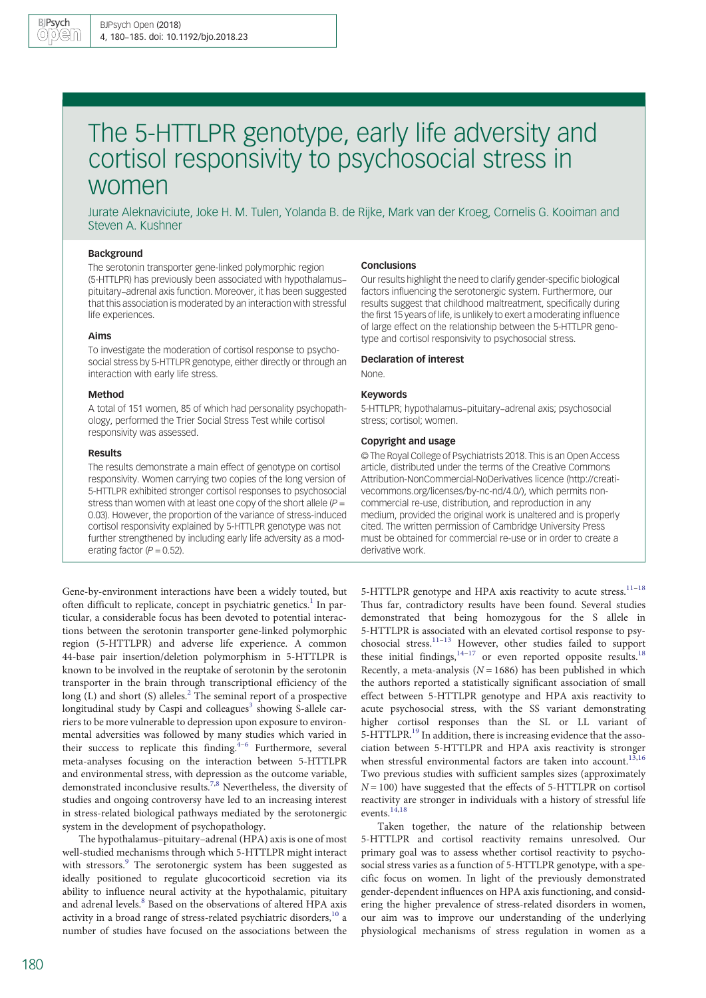# The 5-HTTLPR genotype, early life adversity and cortisol responsivity to psychosocial stress in women

Jurate Aleknaviciute, Joke H. M. Tulen, Yolanda B. de Rijke, Mark van der Kroeg, Cornelis G. Kooiman and Steven A. Kushner

# Background

The serotonin transporter gene-linked polymorphic region (5-HTTLPR) has previously been associated with hypothalamus– pituitary–adrenal axis function. Moreover, it has been suggested that this association is moderated by an interaction with stressful life experiences.

#### Aims

To investigate the moderation of cortisol response to psychosocial stress by 5-HTTLPR genotype, either directly or through an interaction with early life stress.

#### Method

A total of 151 women, 85 of which had personality psychopathology, performed the Trier Social Stress Test while cortisol responsivity was assessed.

#### Results

The results demonstrate a main effect of genotype on cortisol responsivity. Women carrying two copies of the long version of 5-HTTLPR exhibited stronger cortisol responses to psychosocial stress than women with at least one copy of the short allele  $(P =$ 0.03). However, the proportion of the variance of stress-induced cortisol responsivity explained by 5-HTTLPR genotype was not further strengthened by including early life adversity as a moderating factor ( $P = 0.52$ ).

Gene-by-environment interactions have been a widely touted, but often difficult to replicate, concept in psychiatric genetics.<sup>[1](#page-4-0)</sup> In particular, a considerable focus has been devoted to potential interactions between the serotonin transporter gene-linked polymorphic region (5-HTTLPR) and adverse life experience. A common 44-base pair insertion/deletion polymorphism in 5-HTTLPR is known to be involved in the reuptake of serotonin by the serotonin transporter in the brain through transcriptional efficiency of the  $\log$  (L) and short (S) alleles.<sup>[2](#page-4-0)</sup> The seminal report of a prospective longitudinal study by Caspi and colleagues<sup>3</sup> showing S-allele carriers to be more vulnerable to depression upon exposure to environmental adversities was followed by many studies which varied in their success to replicate this finding. $4-6$  $4-6$  $4-6$  Furthermore, several meta-analyses focusing on the interaction between 5-HTTLPR and environmental stress, with depression as the outcome variable, demonstrated inconclusive results[.7](#page-5-0),[8](#page-5-0) Nevertheless, the diversity of studies and ongoing controversy have led to an increasing interest in stress-related biological pathways mediated by the serotonergic system in the development of psychopathology.

The hypothalamus–pituitary–adrenal (HPA) axis is one of most well-studied mechanisms through which 5-HTTLPR might interact with stressors.<sup>[9](#page-5-0)</sup> The serotonergic system has been suggested as ideally positioned to regulate glucocorticoid secretion via its ability to influence neural activity at the hypothalamic, pituitary and adrenal levels.<sup>[8](#page-5-0)</sup> Based on the observations of altered HPA axis activity in a broad range of stress-related psychiatric disorders,<sup>[10](#page-5-0)</sup> a number of studies have focused on the associations between the

## **Conclusions**

Our results highlight the need to clarify gender-specific biological factors influencing the serotonergic system. Furthermore, our results suggest that childhood maltreatment, specifically during the first 15 years of life, is unlikely to exert a moderating influence of large effect on the relationship between the 5-HTTLPR genotype and cortisol responsivity to psychosocial stress.

#### Declaration of interest

None.

#### Keywords

5-HTTLPR; hypothalamus–pituitary–adrenal axis; psychosocial stress; cortisol; women.

#### Copyright and usage

© The Royal College of Psychiatrists 2018. This is an Open Access article, distributed under the terms of the Creative Commons Attribution-NonCommercial-NoDerivatives licence (http://creativecommons.org/licenses/by-nc-nd/4.0/), which permits noncommercial re-use, distribution, and reproduction in any medium, provided the original work is unaltered and is properly cited. The written permission of Cambridge University Press must be obtained for commercial re-use or in order to create a derivative work.

5-HTTLPR genotype and HPA axis reactivity to acute stress.<sup>[11](#page-5-0)-[18](#page-5-0)</sup> Thus far, contradictory results have been found. Several studies demonstrated that being homozygous for the S allele in 5-HTTLPR is associated with an elevated cortisol response to psychosocial stress.[11](#page-5-0)–[13](#page-5-0) However, other studies failed to support these initial findings,  $14-17$  $14-17$  $14-17$  or even reported opposite results.<sup>[18](#page-5-0)</sup> Recently, a meta-analysis ( $N = 1686$ ) has been published in which the authors reported a statistically significant association of small effect between 5-HTTLPR genotype and HPA axis reactivity to acute psychosocial stress, with the SS variant demonstrating higher cortisol responses than the SL or LL variant of 5-HTTLPR.<sup>19</sup> In addition, there is increasing evidence that the association between 5-HTTLPR and HPA axis reactivity is stronger when stressful environmental factors are taken into account.<sup>[13,16](#page-5-0)</sup> Two previous studies with sufficient samples sizes (approximately  $N = 100$ ) have suggested that the effects of 5-HTTLPR on cortisol reactivity are stronger in individuals with a history of stressful life events.[14](#page-5-0),[18](#page-5-0)

Taken together, the nature of the relationship between 5-HTTLPR and cortisol reactivity remains unresolved. Our primary goal was to assess whether cortisol reactivity to psychosocial stress varies as a function of 5-HTTLPR genotype, with a specific focus on women. In light of the previously demonstrated gender-dependent influences on HPA axis functioning, and considering the higher prevalence of stress-related disorders in women, our aim was to improve our understanding of the underlying physiological mechanisms of stress regulation in women as a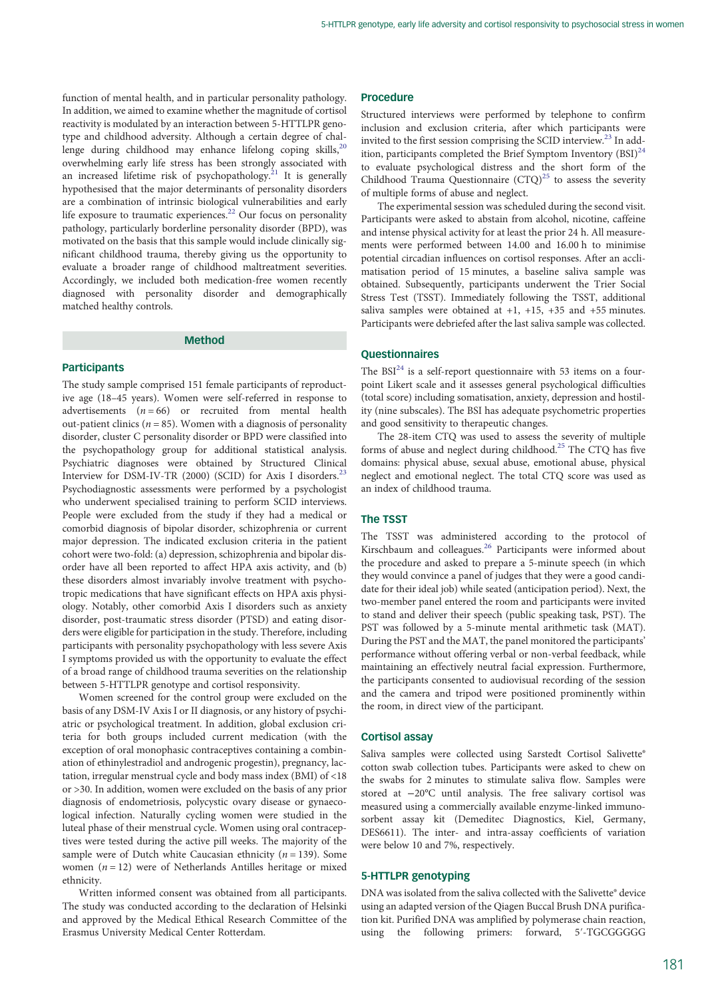function of mental health, and in particular personality pathology. In addition, we aimed to examine whether the magnitude of cortisol reactivity is modulated by an interaction between 5-HTTLPR genotype and childhood adversity. Although a certain degree of chal-lenge during childhood may enhance lifelong coping skills,<sup>[20](#page-5-0)</sup> overwhelming early life stress has been strongly associated with an increased lifetime risk of psychopathology.<sup>21</sup> It is generally hypothesised that the major determinants of personality disorders are a combination of intrinsic biological vulnerabilities and early life exposure to traumatic experiences.<sup>[22](#page-5-0)</sup> Our focus on personality pathology, particularly borderline personality disorder (BPD), was motivated on the basis that this sample would include clinically significant childhood trauma, thereby giving us the opportunity to evaluate a broader range of childhood maltreatment severities. Accordingly, we included both medication-free women recently diagnosed with personality disorder and demographically matched healthy controls.

# Method

## **Participants**

The study sample comprised 151 female participants of reproductive age (18–45 years). Women were self-referred in response to advertisements  $(n = 66)$  or recruited from mental health out-patient clinics ( $n = 85$ ). Women with a diagnosis of personality disorder, cluster C personality disorder or BPD were classified into the psychopathology group for additional statistical analysis. Psychiatric diagnoses were obtained by Structured Clinical Interview for DSM-IV-TR (2000) (SCID) for Axis I disorders.<sup>[23](#page-5-0)</sup> Psychodiagnostic assessments were performed by a psychologist who underwent specialised training to perform SCID interviews. People were excluded from the study if they had a medical or comorbid diagnosis of bipolar disorder, schizophrenia or current major depression. The indicated exclusion criteria in the patient cohort were two-fold: (a) depression, schizophrenia and bipolar disorder have all been reported to affect HPA axis activity, and (b) these disorders almost invariably involve treatment with psychotropic medications that have significant effects on HPA axis physiology. Notably, other comorbid Axis I disorders such as anxiety disorder, post-traumatic stress disorder (PTSD) and eating disorders were eligible for participation in the study. Therefore, including participants with personality psychopathology with less severe Axis I symptoms provided us with the opportunity to evaluate the effect of a broad range of childhood trauma severities on the relationship between 5-HTTLPR genotype and cortisol responsivity.

Women screened for the control group were excluded on the basis of any DSM-IV Axis I or II diagnosis, or any history of psychiatric or psychological treatment. In addition, global exclusion criteria for both groups included current medication (with the exception of oral monophasic contraceptives containing a combination of ethinylestradiol and androgenic progestin), pregnancy, lactation, irregular menstrual cycle and body mass index (BMI) of <18 or >30. In addition, women were excluded on the basis of any prior diagnosis of endometriosis, polycystic ovary disease or gynaecological infection. Naturally cycling women were studied in the luteal phase of their menstrual cycle. Women using oral contraceptives were tested during the active pill weeks. The majority of the sample were of Dutch white Caucasian ethnicity ( $n = 139$ ). Some women  $(n = 12)$  were of Netherlands Antilles heritage or mixed ethnicity.

Written informed consent was obtained from all participants. The study was conducted according to the declaration of Helsinki and approved by the Medical Ethical Research Committee of the Erasmus University Medical Center Rotterdam.

# Procedure

Structured interviews were performed by telephone to confirm inclusion and exclusion criteria, after which participants were invited to the first session comprising the SCID interview.[23](#page-5-0) In addition, participants completed the Brief Symptom Inventory  $(BSI)^{24}$  $(BSI)^{24}$  $(BSI)^{24}$ to evaluate psychological distress and the short form of the Childhood Trauma Questionnaire  $(CTQ)^{25}$  $(CTQ)^{25}$  $(CTQ)^{25}$  to assess the severity of multiple forms of abuse and neglect.

The experimental session was scheduled during the second visit. Participants were asked to abstain from alcohol, nicotine, caffeine and intense physical activity for at least the prior 24 h. All measurements were performed between 14.00 and 16.00 h to minimise potential circadian influences on cortisol responses. After an acclimatisation period of 15 minutes, a baseline saliva sample was obtained. Subsequently, participants underwent the Trier Social Stress Test (TSST). Immediately following the TSST, additional saliva samples were obtained at +1, +15, +35 and +55 minutes. Participants were debriefed after the last saliva sample was collected.

## Questionnaires

The  $BSI<sup>24</sup>$  $BSI<sup>24</sup>$  $BSI<sup>24</sup>$  is a self-report questionnaire with 53 items on a fourpoint Likert scale and it assesses general psychological difficulties (total score) including somatisation, anxiety, depression and hostility (nine subscales). The BSI has adequate psychometric properties and good sensitivity to therapeutic changes.

The 28-item CTQ was used to assess the severity of multiple forms of abuse and neglect during childhood[.25](#page-5-0) The CTQ has five domains: physical abuse, sexual abuse, emotional abuse, physical neglect and emotional neglect. The total CTQ score was used as an index of childhood trauma.

## The TSST

The TSST was administered according to the protocol of Kirschbaum and colleagues.[26](#page-5-0) Participants were informed about the procedure and asked to prepare a 5-minute speech (in which they would convince a panel of judges that they were a good candidate for their ideal job) while seated (anticipation period). Next, the two-member panel entered the room and participants were invited to stand and deliver their speech (public speaking task, PST). The PST was followed by a 5-minute mental arithmetic task (MAT). During the PST and the MAT, the panel monitored the participants' performance without offering verbal or non-verbal feedback, while maintaining an effectively neutral facial expression. Furthermore, the participants consented to audiovisual recording of the session and the camera and tripod were positioned prominently within the room, in direct view of the participant.

#### Cortisol assay

Saliva samples were collected using Sarstedt Cortisol Salivette® cotton swab collection tubes. Participants were asked to chew on the swabs for 2 minutes to stimulate saliva flow. Samples were stored at −20°C until analysis. The free salivary cortisol was measured using a commercially available enzyme-linked immunosorbent assay kit (Demeditec Diagnostics, Kiel, Germany, DES6611). The inter- and intra-assay coefficients of variation were below 10 and 7%, respectively.

## 5-HTTLPR genotyping

DNA was isolated from the saliva collected with the Salivette® device using an adapted version of the Qiagen Buccal Brush DNA purification kit. Purified DNA was amplified by polymerase chain reaction, using the following primers: forward, 5′-TGCGGGGG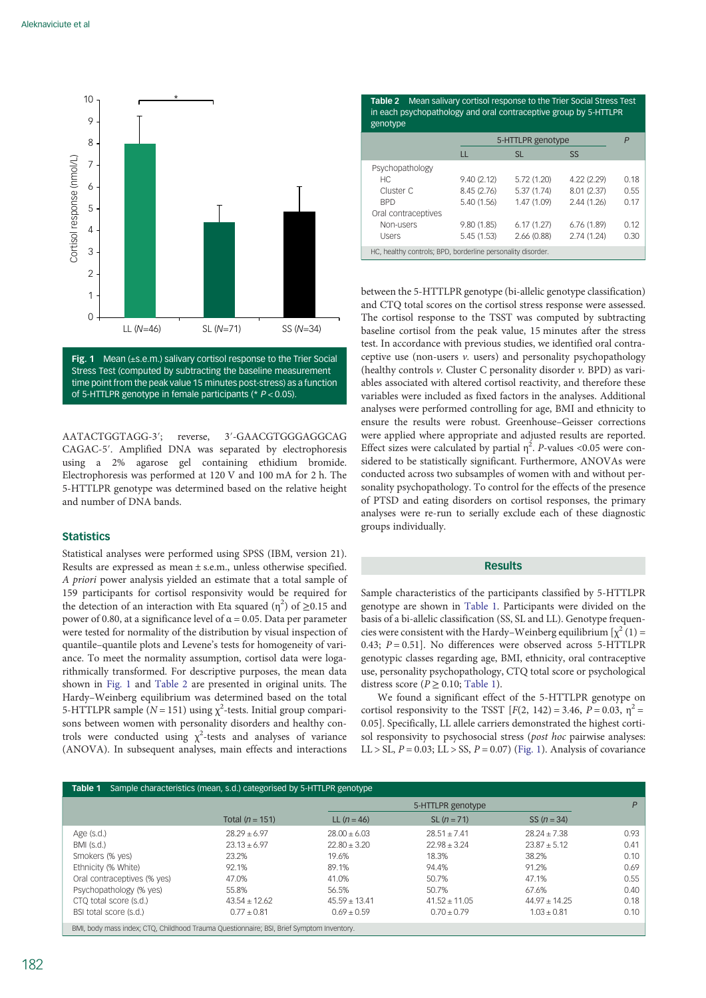<span id="page-2-0"></span>

Fig. 1 Mean (±s.e.m.) salivary cortisol response to the Trier Social Stress Test (computed by subtracting the baseline measurement time point from the peak value 15 minutes post-stress) as a function of 5-HTTLPR genotype in female participants (\* P < 0.05).

AATACTGGTAGG-3′; reverse, 3′-GAACGTGGGAGGCAG CAGAC-5′. Amplified DNA was separated by electrophoresis using a 2% agarose gel containing ethidium bromide. Electrophoresis was performed at 120 V and 100 mA for 2 h. The 5-HTTLPR genotype was determined based on the relative height and number of DNA bands.

# **Statistics**

Statistical analyses were performed using SPSS (IBM, version 21). Results are expressed as mean ± s.e.m., unless otherwise specified. A priori power analysis yielded an estimate that a total sample of 159 participants for cortisol responsivity would be required for the detection of an interaction with Eta squared ( $\eta^2$ ) of  $\geq$ 0.15 and power of 0.80, at a significance level of α = 0.05. Data per parameter were tested for normality of the distribution by visual inspection of quantile–quantile plots and Levene's tests for homogeneity of variance. To meet the normality assumption, cortisol data were logarithmically transformed. For descriptive purposes, the mean data shown in Fig. 1 and Table 2 are presented in original units. The Hardy–Weinberg equilibrium was determined based on the total 5-HTTLPR sample ( $N = 151$ ) using  $\chi^2$ -tests. Initial group comparisons between women with personality disorders and healthy controls were conducted using  $\chi^2$ -tests and analyses of variance (ANOVA). In subsequent analyses, main effects and interactions

Table 2 Mean salivary cortisol response to the Trier Social Stress Test in each psychopathology and oral contraceptive group by 5-HTTLPR genotype

| 5-HTTLPR genotype<br>P<br>SS<br>LL<br><b>SL</b><br>Psychopathology<br>4.22 (2.29)<br>9.40(2.12)<br>5.72 (1.20)<br>HC.<br>8.01 (2.37)<br>Cluster C<br>8.45 (2.76)<br>5.37(1.74)<br>5.40 (1.56)<br>1.47 (1.09)<br>2.44 (1.26)<br><b>BPD</b><br>Oral contraceptives<br>9.80(1.85)<br>6.17(1.27)<br>6.76(1.89)<br>Non-users<br>2.74(1.24)<br>5.45(1.53)<br>2.66(0.88)<br>Users<br>HC, healthy controls; BPD, borderline personality disorder. |  | . |  |  |  |      |  |  |  |
|-------------------------------------------------------------------------------------------------------------------------------------------------------------------------------------------------------------------------------------------------------------------------------------------------------------------------------------------------------------------------------------------------------------------------------------------|--|---|--|--|--|------|--|--|--|
|                                                                                                                                                                                                                                                                                                                                                                                                                                           |  |   |  |  |  |      |  |  |  |
|                                                                                                                                                                                                                                                                                                                                                                                                                                           |  |   |  |  |  |      |  |  |  |
|                                                                                                                                                                                                                                                                                                                                                                                                                                           |  |   |  |  |  |      |  |  |  |
|                                                                                                                                                                                                                                                                                                                                                                                                                                           |  |   |  |  |  | 0.18 |  |  |  |
|                                                                                                                                                                                                                                                                                                                                                                                                                                           |  |   |  |  |  | 0.55 |  |  |  |
|                                                                                                                                                                                                                                                                                                                                                                                                                                           |  |   |  |  |  | 0.17 |  |  |  |
|                                                                                                                                                                                                                                                                                                                                                                                                                                           |  |   |  |  |  |      |  |  |  |
|                                                                                                                                                                                                                                                                                                                                                                                                                                           |  |   |  |  |  | 0.12 |  |  |  |
|                                                                                                                                                                                                                                                                                                                                                                                                                                           |  |   |  |  |  | 0.30 |  |  |  |
|                                                                                                                                                                                                                                                                                                                                                                                                                                           |  |   |  |  |  |      |  |  |  |

between the 5-HTTLPR genotype (bi-allelic genotype classification) and CTQ total scores on the cortisol stress response were assessed. The cortisol response to the TSST was computed by subtracting baseline cortisol from the peak value, 15 minutes after the stress test. In accordance with previous studies, we identified oral contraceptive use (non-users  $v$ . users) and personality psychopathology (healthy controls v. Cluster C personality disorder v. BPD) as variables associated with altered cortisol reactivity, and therefore these variables were included as fixed factors in the analyses. Additional analyses were performed controlling for age, BMI and ethnicity to ensure the results were robust. Greenhouse–Geisser corrections were applied where appropriate and adjusted results are reported. Effect sizes were calculated by partial  $\eta^2$ . *P*-values <0.05 were considered to be statistically significant. Furthermore, ANOVAs were conducted across two subsamples of women with and without personality psychopathology. To control for the effects of the presence of PTSD and eating disorders on cortisol responses, the primary analyses were re-run to serially exclude each of these diagnostic groups individually.

# Results

Sample characteristics of the participants classified by 5-HTTLPR genotype are shown in Table 1. Participants were divided on the basis of a bi-allelic classification (SS, SL and LL). Genotype frequencies were consistent with the Hardy–Weinberg equilibrium  $[\chi^2(1) =$ 0.43;  $P = 0.51$ ]. No differences were observed across 5-HTTLPR genotypic classes regarding age, BMI, ethnicity, oral contraceptive use, personality psychopathology, CTQ total score or psychological distress score ( $P > 0.10$ ; Table 1).

We found a significant effect of the 5-HTTLPR genotype on cortisol responsivity to the TSST  $[F(2, 142) = 3.46, P = 0.03, \eta^2 =$ 0.05]. Specifically, LL allele carriers demonstrated the highest cortisol responsivity to psychosocial stress (post hoc pairwise analyses: LL > SL,  $P = 0.03$ ; LL > SS,  $P = 0.07$ ) (Fig. 1). Analysis of covariance

| Sample characteristics (mean, s.d.) categorised by 5-HTTLPR genotype<br>Table 1          |                   |                   |                   |                  |      |  |  |  |
|------------------------------------------------------------------------------------------|-------------------|-------------------|-------------------|------------------|------|--|--|--|
|                                                                                          |                   |                   | 5-HTTLPR genotype |                  |      |  |  |  |
|                                                                                          | Total $(n = 151)$ | LL $(n = 46)$     | $SL (n = 71)$     | SS $(n = 34)$    |      |  |  |  |
| Age $(s.d.)$                                                                             | $28.29 + 6.97$    | $28.00 + 6.03$    | $28.51 + 7.41$    | $28.24 + 7.38$   | 0.93 |  |  |  |
| BMI (s.d.)                                                                               | $23.13 + 6.97$    | $22.80 \pm 3.20$  | $22.98 + 3.24$    | $23.87 \pm 5.12$ | 0.41 |  |  |  |
| Smokers (% yes)                                                                          | 23.2%             | 19.6%             | 18.3%             | 38.2%            | 0.10 |  |  |  |
| Ethnicity (% White)                                                                      | 92.1%             | 89.1%             | 94.4%             | 91.2%            | 0.69 |  |  |  |
| Oral contraceptives (% yes)                                                              | 47.0%             | 41.0%             | 50.7%             | 47.1%            | 0.55 |  |  |  |
| Psychopathology (% yes)                                                                  | 55.8%             | 56.5%             | 50.7%             | 67.6%            | 0.40 |  |  |  |
| CTQ total score (s.d.)                                                                   | $43.54 \pm 12.62$ | $45.59 \pm 13.41$ | $41.52 \pm 11.05$ | $44.97 + 14.25$  | 0.18 |  |  |  |
| BSI total score (s.d.)                                                                   | $0.77 \pm 0.81$   | $0.69 + 0.59$     | $0.70 \pm 0.79$   | $1.03 \pm 0.81$  | 0.10 |  |  |  |
| BMI, body mass index; CTQ, Childhood Trauma Questionnaire; BSI, Brief Symptom Inventory. |                   |                   |                   |                  |      |  |  |  |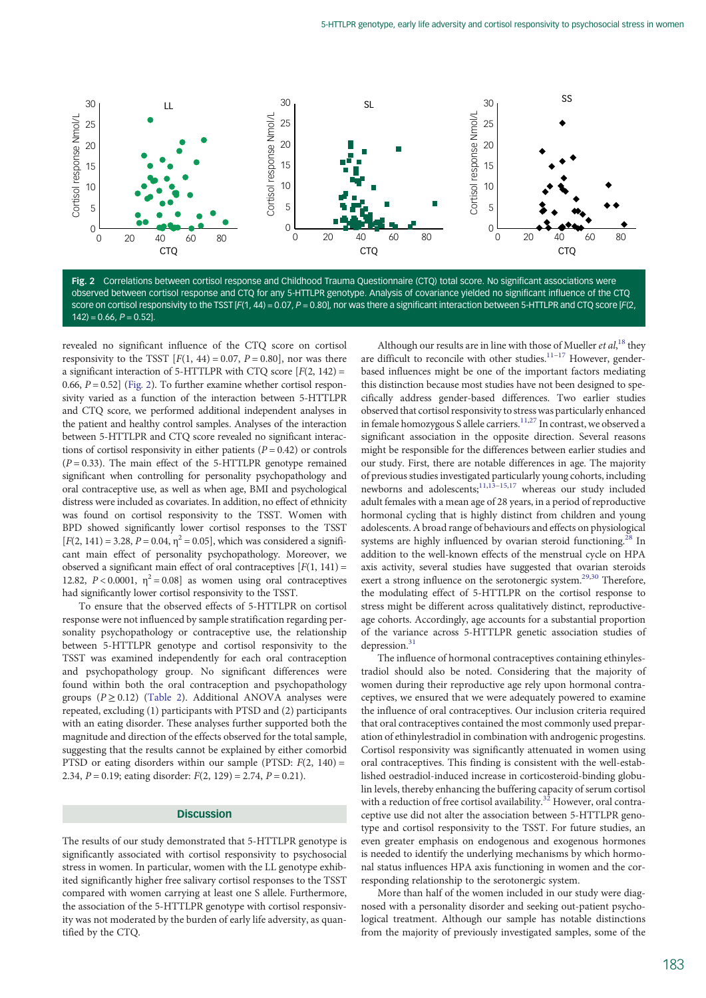

Fig. 2 Correlations between cortisol response and Childhood Trauma Questionnaire (CTQ) total score. No significant associations were observed between cortisol response and CTQ for any 5-HTTLPR genotype. Analysis of covariance yielded no significant influence of the CTQ score on cortisol responsivity to the TSST [F(1, 44) = 0.07, P = 0.80], nor was there a significant interaction between 5-HTTLPR and CTQ score [F(2,  $142$ ) = 0.66,  $P = 0.52$ ].

revealed no significant influence of the CTQ score on cortisol responsivity to the TSST  $[F(1, 44) = 0.07, P = 0.80]$ , nor was there a significant interaction of 5-HTTLPR with CTQ score  $[F(2, 142) =$ 0.66,  $P = 0.52$  (Fig. 2). To further examine whether cortisol responsivity varied as a function of the interaction between 5-HTTLPR and CTQ score, we performed additional independent analyses in the patient and healthy control samples. Analyses of the interaction between 5-HTTLPR and CTQ score revealed no significant interactions of cortisol responsivity in either patients ( $P = 0.42$ ) or controls  $(P = 0.33)$ . The main effect of the 5-HTTLPR genotype remained significant when controlling for personality psychopathology and oral contraceptive use, as well as when age, BMI and psychological distress were included as covariates. In addition, no effect of ethnicity was found on cortisol responsivity to the TSST. Women with BPD showed significantly lower cortisol responses to the TSST  $[F(2, 141) = 3.28, P = 0.04, \eta^2 = 0.05]$ , which was considered a significant main effect of personality psychopathology. Moreover, we observed a significant main effect of oral contraceptives  $[F(1, 141) =$ 12.82,  $P < 0.0001$ ,  $\eta^2 = 0.08$ ] as women using oral contraceptives had significantly lower cortisol responsivity to the TSST.

To ensure that the observed effects of 5-HTTLPR on cortisol response were not influenced by sample stratification regarding personality psychopathology or contraceptive use, the relationship between 5-HTTLPR genotype and cortisol responsivity to the TSST was examined independently for each oral contraception and psychopathology group. No significant differences were found within both the oral contraception and psychopathology groups ( $P \ge 0.12$ ) ([Table 2](#page-2-0)). Additional ANOVA analyses were repeated, excluding (1) participants with PTSD and (2) participants with an eating disorder. These analyses further supported both the magnitude and direction of the effects observed for the total sample, suggesting that the results cannot be explained by either comorbid PTSD or eating disorders within our sample (PTSD:  $F(2, 140) =$ 2.34,  $P = 0.19$ ; eating disorder:  $F(2, 129) = 2.74$ ,  $P = 0.21$ ).

# Discussion

The results of our study demonstrated that 5-HTTLPR genotype is significantly associated with cortisol responsivity to psychosocial stress in women. In particular, women with the LL genotype exhibited significantly higher free salivary cortisol responses to the TSST compared with women carrying at least one S allele. Furthermore, the association of the 5-HTTLPR genotype with cortisol responsivity was not moderated by the burden of early life adversity, as quantified by the CTQ.

Although our results are in line with those of Mueller et  $al$ ,<sup>[18](#page-5-0)</sup> they are difficult to reconcile with other studies. $11-17$  $11-17$  However, genderbased influences might be one of the important factors mediating this distinction because most studies have not been designed to specifically address gender-based differences. Two earlier studies observed that cortisol responsivity to stress was particularly enhanced in female homozygous S allele carriers.  $\frac{11,27}{10}$  $\frac{11,27}{10}$  $\frac{11,27}{10}$  In contrast, we observed a significant association in the opposite direction. Several reasons might be responsible for the differences between earlier studies and our study. First, there are notable differences in age. The majority of previous studies investigated particularly young cohorts, including newborns and adolescents; $11,13-15,17$  $11,13-15,17$  $11,13-15,17$  $11,13-15,17$  $11,13-15,17$  whereas our study included adult females with a mean age of 28 years, in a period of reproductive hormonal cycling that is highly distinct from children and young adolescents. A broad range of behaviours and effects on physiological systems are highly influenced by ovarian steroid functioning.<sup>28</sup> In addition to the well-known effects of the menstrual cycle on HPA axis activity, several studies have suggested that ovarian steroids exert a strong influence on the serotonergic system.<sup>[29](#page-5-0),[30](#page-5-0)</sup> Therefore, the modulating effect of 5-HTTLPR on the cortisol response to stress might be different across qualitatively distinct, reproductiveage cohorts. Accordingly, age accounts for a substantial proportion of the variance across 5-HTTLPR genetic association studies of depression.<sup>31</sup>

The influence of hormonal contraceptives containing ethinylestradiol should also be noted. Considering that the majority of women during their reproductive age rely upon hormonal contraceptives, we ensured that we were adequately powered to examine the influence of oral contraceptives. Our inclusion criteria required that oral contraceptives contained the most commonly used preparation of ethinylestradiol in combination with androgenic progestins. Cortisol responsivity was significantly attenuated in women using oral contraceptives. This finding is consistent with the well-established oestradiol-induced increase in corticosteroid-binding globulin levels, thereby enhancing the buffering capacity of serum cortisol with a reduction of free cortisol availability.<sup>[32](#page-5-0)</sup> However, oral contraceptive use did not alter the association between 5-HTTLPR genotype and cortisol responsivity to the TSST. For future studies, an even greater emphasis on endogenous and exogenous hormones is needed to identify the underlying mechanisms by which hormonal status influences HPA axis functioning in women and the corresponding relationship to the serotonergic system.

More than half of the women included in our study were diagnosed with a personality disorder and seeking out-patient psychological treatment. Although our sample has notable distinctions from the majority of previously investigated samples, some of the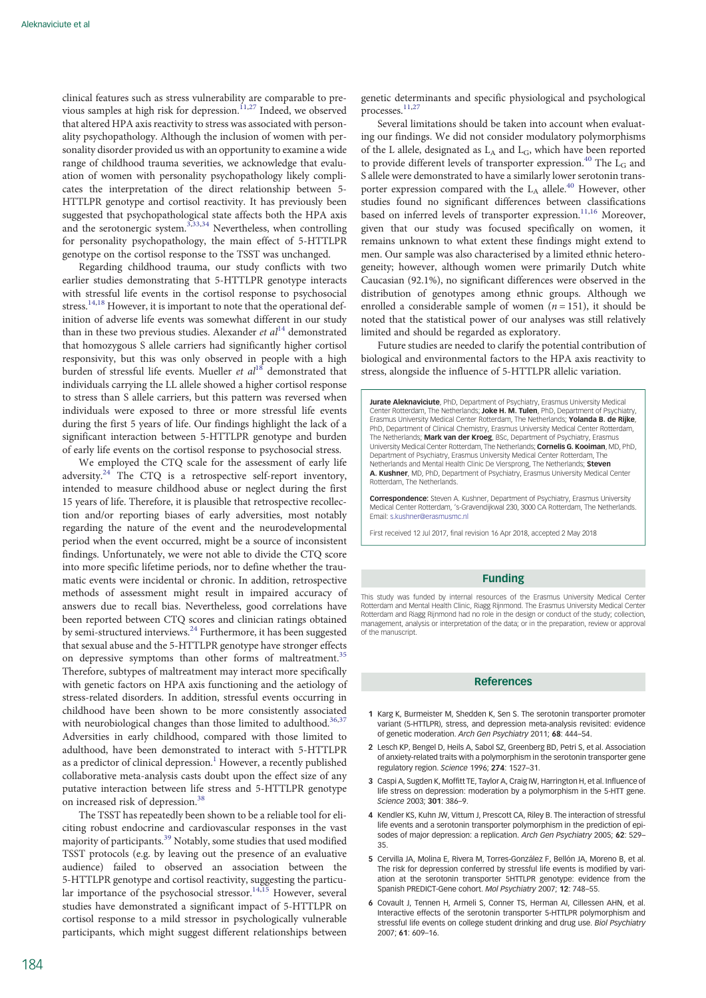<span id="page-4-0"></span>clinical features such as stress vulnerability are comparable to pre-vious samples at high risk for depression.<sup>[11](#page-5-0),[27](#page-5-0)</sup> Indeed, we observed that altered HPA axis reactivity to stress was associated with personality psychopathology. Although the inclusion of women with personality disorder provided us with an opportunity to examine a wide range of childhood trauma severities, we acknowledge that evaluation of women with personality psychopathology likely complicates the interpretation of the direct relationship between 5- HTTLPR genotype and cortisol reactivity. It has previously been suggested that psychopathological state affects both the HPA axis and the serotonergic system.<sup>3[,33,34](#page-5-0)</sup> Nevertheless, when controlling for personality psychopathology, the main effect of 5-HTTLPR genotype on the cortisol response to the TSST was unchanged.

Regarding childhood trauma, our study conflicts with two earlier studies demonstrating that 5-HTTLPR genotype interacts with stressful life events in the cortisol response to psychosocial stress.<sup>[14,18](#page-5-0)</sup> However, it is important to note that the operational definition of adverse life events was somewhat different in our study than in these two previous studies. Alexander *et al*<sup>[14](#page-5-0)</sup> demonstrated that homozygous S allele carriers had significantly higher cortisol responsivity, but this was only observed in people with a high burden of stressful life events. Mueller et  $al^{18}$  $al^{18}$  $al^{18}$  demonstrated that individuals carrying the LL allele showed a higher cortisol response to stress than S allele carriers, but this pattern was reversed when individuals were exposed to three or more stressful life events during the first 5 years of life. Our findings highlight the lack of a significant interaction between 5-HTTLPR genotype and burden of early life events on the cortisol response to psychosocial stress.

We employed the CTQ scale for the assessment of early life adversity. $24$  The CTO is a retrospective self-report inventory, intended to measure childhood abuse or neglect during the first 15 years of life. Therefore, it is plausible that retrospective recollection and/or reporting biases of early adversities, most notably regarding the nature of the event and the neurodevelopmental period when the event occurred, might be a source of inconsistent findings. Unfortunately, we were not able to divide the CTQ score into more specific lifetime periods, nor to define whether the traumatic events were incidental or chronic. In addition, retrospective methods of assessment might result in impaired accuracy of answers due to recall bias. Nevertheless, good correlations have been reported between CTQ scores and clinician ratings obtained by semi-structured interviews.[24](#page-5-0) Furthermore, it has been suggested that sexual abuse and the 5-HTTLPR genotype have stronger effects on depressive symptoms than other forms of maltreatment.<sup>[35](#page-5-0)</sup> Therefore, subtypes of maltreatment may interact more specifically with genetic factors on HPA axis functioning and the aetiology of stress-related disorders. In addition, stressful events occurring in childhood have been shown to be more consistently associated with neurobiological changes than those limited to adulthood.<sup>36,37</sup> Adversities in early childhood, compared with those limited to adulthood, have been demonstrated to interact with 5-HTTLPR as a predictor of clinical depression.<sup>1</sup> However, a recently published collaborative meta-analysis casts doubt upon the effect size of any putative interaction between life stress and 5-HTTLPR genotype on increased risk of depression.[38](#page-5-0)

The TSST has repeatedly been shown to be a reliable tool for eliciting robust endocrine and cardiovascular responses in the vast majority of participants.<sup>39</sup> Notably, some studies that used modified TSST protocols (e.g. by leaving out the presence of an evaluative audience) failed to observed an association between the 5-HTTLPR genotype and cortisol reactivity, suggesting the particu-lar importance of the psychosocial stressor.<sup>[14](#page-5-0),[15](#page-5-0)</sup> However, several studies have demonstrated a significant impact of 5-HTTLPR on cortisol response to a mild stressor in psychologically vulnerable participants, which might suggest different relationships between genetic determinants and specific physiological and psychological processes.<sup>[11,27](#page-5-0)</sup>

Several limitations should be taken into account when evaluating our findings. We did not consider modulatory polymorphisms of the L allele, designated as  $L_A$  and  $L_G$ , which have been reported to provide different levels of transporter expression.<sup>[40](#page-5-0)</sup> The  $\overline{L}_G$  and S allele were demonstrated to have a similarly lower serotonin transporter expression compared with the  $L_A$  allele.<sup>[40](#page-5-0)</sup> However, other studies found no significant differences between classifications based on inferred levels of transporter expression.<sup>[11](#page-5-0),[16](#page-5-0)</sup> Moreover, given that our study was focused specifically on women, it remains unknown to what extent these findings might extend to men. Our sample was also characterised by a limited ethnic heterogeneity; however, although women were primarily Dutch white Caucasian (92.1%), no significant differences were observed in the distribution of genotypes among ethnic groups. Although we enrolled a considerable sample of women  $(n = 151)$ , it should be noted that the statistical power of our analyses was still relatively limited and should be regarded as exploratory.

Future studies are needed to clarify the potential contribution of biological and environmental factors to the HPA axis reactivity to stress, alongside the influence of 5-HTTLPR allelic variation.

Jurate Aleknaviciute, PhD, Department of Psychiatry, Erasmus University Medical Center Rotterdam, The Netherlands: Joke H. M. Tulen, PhD, Department of Psychiatry Erasmus University Medical Center Rotterdam, The Netherlands; Yolanda B. de Rijke, PhD, Department of Clinical Chemistry, Erasmus University Medical Center Rotterdam, The Netherlands; Mark van der Kroeg, BSc, Department of Psychiatry, Erasmus University Medical Center Rotterdam, The Netherlands; Cornelis G. Kooiman, MD, PhD, Department of Psychiatry, Erasmus University Medical Center Rotterdam, The Netherlands and Mental Health Clinic De Viersprong, The Netherlands; Steven A. Kushner, MD, PhD, Department of Psychiatry, Erasmus University Medical Center Rotterdam, The Netherlands.

Correspondence: Steven A. Kushner, Department of Psychiatry, Erasmus University Medical Center Rotterdam, 's-Gravendijkwal 230, 3000 CA Rotterdam, The Netherlands. Email: [s.kushner@erasmusmc.nl](mailto:s.kushner@erasmusmc.nl)

First received 12 Jul 2017, final revision 16 Apr 2018, accepted 2 May 2018

# Funding

This study was funded by internal resources of the Erasmus University Medical Center Rotterdam and Mental Health Clinic, Riagg Rijnmond. The Erasmus University Medical Center Rotterdam and Riagg Rijnmond had no role in the design or conduct of the study; collection, management, analysis or interpretation of the data; or in the preparation, review or approval of the manuscript.

### References

- 1 Karg K, Burmeister M, Shedden K, Sen S, The serotonin transporter promoter variant (5-HTTLPR), stress, and depression meta-analysis revisited: evidence of genetic moderation. Arch Gen Psychiatry 2011; 68: 444–54.
- 2 Lesch KP, Bengel D, Heils A, Sabol SZ, Greenberg BD, Petri S, et al. Association of anxiety-related traits with a polymorphism in the serotonin transporter gene regulatory region. Science 1996; 274: 1527–31.
- 3 Caspi A, Sugden K, Moffitt TE, Taylor A, Craig IW, Harrington H, et al. Influence of life stress on depression: moderation by a polymorphism in the 5-HTT gene Science 2003; 301: 386–9.
- 4 Kendler KS, Kuhn JW, Vittum J, Prescott CA, Riley B. The interaction of stressful life events and a serotonin transporter polymorphism in the prediction of episodes of major depression: a replication. Arch Gen Psychiatry 2005; 62: 529– 35.
- 5 Cervilla JA, Molina E, Rivera M, Torres-González F, Bellón JA, Moreno B, et al. The risk for depression conferred by stressful life events is modified by variation at the serotonin transporter 5HTTLPR genotype: evidence from the Spanish PREDICT-Gene cohort. Mol Psychiatry 2007; 12: 748–55.
- 6 Covault J, Tennen H, Armeli S, Conner TS, Herman AI, Cillessen AHN, et al. Interactive effects of the serotonin transporter 5-HTTLPR polymorphism and stressful life events on college student drinking and drug use. Biol Psychiatry 2007; 61: 609–16.